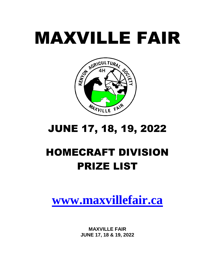# MAXVILLE FAIR



# JUNE 17, 18, 19, 2022

# HOMECRAFT DIVISION PRIZE LIST

# **[www.maxvillefair.ca](http://www.maxvillefair.ca/)**

**MAXVILLE FAIR JUNE 17, 18 & 19, 2022**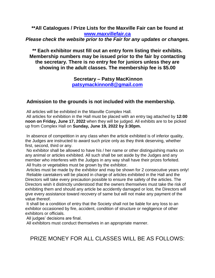**\*\*All Catalogues / Prize Lists for the Maxville Fair can be found at [www.maxvillefair.ca](http://www.maxvillefair.ca/)** *Please check the website prior to the Fair for any updates or changes.*

**\*\* Each exhibitor must fill out an entry form listing their exhibits. Membership numbers may be issued prior to the fair by contacting the secretary. There is no entry fee for juniors unless they are showing in the adult classes. The membership fee is \$5.00**

> **Secretary – Patsy MacKinnon [patsymackinnon8@gmail.com](mailto:patsymackinnon8@gmail.com)**

#### **Admission to the grounds is not included with the membership.**

All articles will be exhibited in the Maxville Complex Hall.

All articles for exhibition in the Hall must be placed with an entry tag attached by **12:00 noon on Friday, June 17, 2022** when they will be judged. All exhibits are to be picked up from Complex Hall on **Sunday, June 19, 2022 by 3:30pm.**

In absence of competition in any class when the article exhibited is of inferior quality, the Judges are instructed to award such prize only as they think deserving, whether first, second, third or any.

No exhibitor shall be allowed to have his / her name or other distinguishing marks on any animal or articles exhibited. All such shall be set aside by the Judges and any member who interferes with the Judges in any way shall have their prizes forfeited. All fruits or vegetables must be grown by the exhibitor.

Articles must be made by the exhibitor and may be shown for 2 consecutive years only! Reliable caretakers will be placed in charge of articles exhibited in the Hall and the Directors will take every precaution possible to ensure the safety of the articles. The Directors wish it distinctly understood that the owners themselves must take the risk of exhibiting them and should any article be accidently damaged or lost, the Directors will give every assistance toward recovery of same but will not make any payment of the value thereof.

It shall be a condition of entry that the Society shall not be liable for any loss to an exhibitor occasioned by fire, accident, condition of structure or negligence of other exhibitors or officials.

All judges' decisions are final.

All exhibitors must conduct themselves in an appropriate manner.

## PRIZE MONEY FOR ALL CLASSES WILL BE AS FOLLOWS: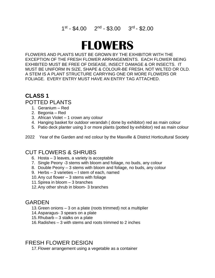#### 1<sup>st</sup> - \$4.00 2<sup>nd</sup> - \$3.00 3<sup>rd</sup> - \$2.00

# **FLOWERS**

FLOWERS AND PLANTS MUST BE GROWN BY THE EXHIBITOR WITH THE EXCEPTION OF THE FRESH FLOWER ARRANGEMENTS. EACH FLOWER BEING EXHIBITED MUST BE FREE OF DISEASE, INSECT DAMAGE & OR INSECTS. IT MUST BE UNIFORM IN SIZE, SHAPE & COLOUR-BE FRESH, NOT WILTED OR OLD. A STEM IS A PLANT STRUCTURE CARRYING ONE OR MORE FLOWERS OR FOLIAGE. EVERY ENTRY MUST HAVE AN ENTRY TAG ATTACHED.

# **CLASS 1**

#### POTTED PLANTS

- 1. Geranium Red
- 2. Begonia Red
- 3. African Violet 1 crown any colour
- 4. Hanging basket for outdoor verandah ( done by exhibitor) red as main colour
- 5. Patio deck planter using 3 or more plants (potted by exhibitor) red as main colour

2022 Year of the Garden and red colour by the Maxville & District Horticultural Society

#### CUT FLOWERS & SHRUBS

- 6. Hosta 3 leaves, a variety is acceptable
- 7. Single Peony -3 stems with bloom and foliage, no buds, any colour
- 8. Double Peony 3 stems with bloom and foliage, no buds, any colour
- 9. Herbs 3 varieties I stem of each, named
- 10.Any cut flower 3 stems with foliage
- 11.Spirea in bloom 3 branches
- 12.Any other shrub in bloom- 3 branches

#### **GARDEN**

- 13.Green onions 3 on a plate (roots trimmed) not a multiplier
- 14.Asparagus- 3 spears on a plate
- 15.Rhubarb 3 stalks on a plate
- 16.Radishes 3 with stems and roots trimmed to 2 inches

#### FRESH FLOWER DESIGN

17.Flower arrangement using a vegetable as a container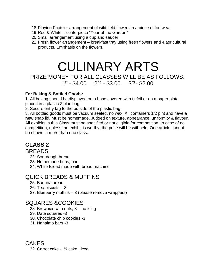- 18.Playing Footsie- arrangement of wild field flowers in a piece of footwear
- 19.Red & White centerpiece "Year of the Garden"
- 20.Small arrangement using a cup and saucer
- 21.Fresh flower arrangement breakfast tray using fresh flowers and 4 agricultural products. Emphasis on the flowers.

# CULINARY ARTS PRIZE MONEY FOR ALL CLASSES WILL BE AS FOLLOWS: 1<sup>st</sup> - \$4.00 2<sup>nd</sup> - \$3.00 3<sup>rd</sup> - \$2.00

#### **For Baking & Bottled Goods:**

1. All baking should be displayed on a base covered with tinfoil or on a paper plate placed in a plastic Ziploc bag.

2. Secure entry tag to the outside of the plastic bag.

3. All bottled goods must be vacuum sealed, no wax. All containers 1/2 pint and have a **new** snap lid. Must be homemade. Judged on texture, appearance, uniformity & flavour. All exhibits in this Class must be specified or not eligible for competition. In case of no competition, unless the exhibit is worthy, the prize will be withheld. One article cannot be shown in more than one class.

# **CLASS 2**

#### BREADS

- 22. Sourdough bread
- 23. Homemade buns, pan
- 24. White Bread made with bread machine

#### QUICK BREADS & MUFFINS

- 25. Banana bread
- 26. Tea biscuits 3
- 27. Blueberry muffins 3 (please remove wrappers)

#### SQUARES &COOKIES

- 28. Brownies with nuts, 3 no icing
- 29. Date squares -3
- 30. Chocolate chip cookies -3
- 31. Nanaimo bars -3

CAKES

32. Carrot cake - ½ cake , iced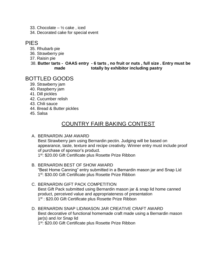- 33. Chocolate  $\frac{1}{2}$  cake, iced
- 34. Decorated cake for special event

#### PIES

- 35. Rhubarb pie
- 36. Strawberry pie
- 37. Raisin pie
- 38. **Butter tarts OAAS entry - 6 tarts , no fruit or nuts , full size . Entry must be made totally by exhibitor including pastry**

#### BOTTLED GOODS

- 39. Strawberry jam
- 40. Raspberry jam
- 41. Dill pickles
- 42. Cucumber relish
- 43. Chili sauce
- 44. Bread & Butter pickles
- 45. Salsa

# COUNTRY FAIR BAKING CONTEST

#### A. BERNARDIN JAM AWARD

Best Strawberry jam using Bernardin pectin. Judging will be based on appearance, taste, texture and recipe creativity. Winner entry must include proof of purchase of sponsor's product.

1<sup>st</sup>: \$20.00 Gift Certificate plus Rosette Prize Ribbon

- B. BERNARDIN BEST OF SHOW AWARD "Best Home Canning" entry submitted in a Bernardin mason jar and Snap Lid 1<sup>st</sup>: \$30.00 Gift Certificate plus Rosette Prize Ribbon
- C. BERNARDIN GIFT PACK COMPETITION Best Gift Pack submitted using Bernardin mason jar & snap lid home canned product, perceived value and appropriateness of presentation 1<sup>st</sup> : \$20.00 Gift Certificate plus Rosette Prize Ribbon
- D. BERNARDIN SNAP LID/MASON JAR CREATIVE CRAFT AWARD Best decorative of functional homemade craft made using a Bernardin mason jar(s) and /or Snap lid 1<sup>st</sup>: \$20.00 Gift Certificate plus Rosette Prize Ribbon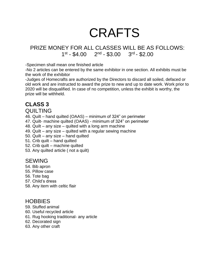# CRAFTS

#### PRIZE MONEY FOR ALL CLASSES WILL BE AS FOLLOWS:  $1^{st} - $4.00$   $2^{nd} - $3.00$   $3^{rd} - $2.00$

-Specimen shall mean one finished article

-No 2 articles can be entered by the same exhibitor in one section. All exhibits must be the work of the exhibitor

-Judges of Homecrafts are authorized by the Directors to discard all soiled, defaced or old work and are instructed to award the prize to new and up to date work. Work prior to 2020 will be disqualified. In case of no competition, unless the exhibit is worthy, the prize will be withheld.

# **CLASS 3**

#### QUILTING

46. Quilt – hand quilted (OAAS) – minimum of 324" on perimeter

- 47. Quilt- machine quilted (OAAS) minimum of 324" on perimeter
- 48. Quilt any size quilted with a long arm machine
- 49. Quilt any size quilted with a regular sewing machine
- 50. Quilt any size hand quilted
- 51. Crib quilt hand quilted
- 52. Crib quilt machine quilted
- 53. Any quilted article ( not a quilt)

#### SEWING

- 54. Bib apron
- 55. Pillow case
- 56. Tote bag
- 57. Child's dress
- 58. Any item with celtic flair

#### **HOBBIES**

- 59. Stuffed animal
- 60. Useful recycled article
- 61. Rug hooking traditional- any article
- 62. Decorated sign
- 63. Any other craft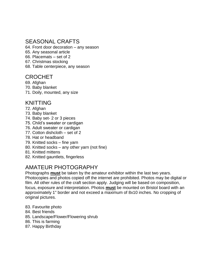#### SEASONAL CRAFTS

64. Front door decoration – any season

- 65. Any seasonal article
- 66. Placemats set of 2
- 67. Christmas stocking
- 68. Table centerpiece, any season

#### CROCHET

- 69. Afghan
- 70. Baby blanket
- 71. Doily, mounted, any size

#### KNITTING

- 72. Afghan
- 73. Baby blanket
- 74. Baby set- 2 or 3 pieces
- 75. Child's sweater or cardigan
- 76. Adult sweater or cardigan
- 77. Cotton dishcloth set of 2
- 78. Hat or headband
- 79. Knitted socks fine yarn
- 80. Knitted socks any other yarn (not fine)
- 81. Knitted mittens
- 82. Knitted gauntlets, fingerless

## AMATEUR PHOTOGRAPHY

Photographs **must** be taken by the amateur exhibitor within the last two years. Photocopies and photos copied off the internet are prohibited. Photos may be digital or film. All other rules of the craft section apply. Judging will be based on composition, focus, exposure and interpretation. Photos **must** be mounted on Bristol board with an approximately 1" border and not exceed a maximum of 8x10 inches. No cropping of original pictures.

- 83. Favourite photo
- 84. Best friends
- 85. Landscape/Flower/Flowering shrub
- 86. This is farming
- 87. Happy Birthday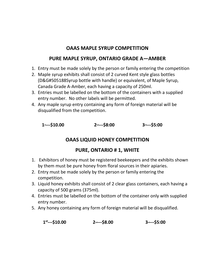#### **OAAS MAPLE SYRUP COMPETITION**

#### **PURE MAPLE SYRUP, ONTARIO GRADE A—AMBER**

- 1. Entry must be made solely by the person or family entering the competition
- 2. Maple syrup exhibits shall consist of 2 curved Kent style glass bottles (D&G#505188Syrup bottle with handle) or equivalent, of Maple Syrup, Canada Grade A-Amber, each having a capacity of 250ml.
- 3. Entries must be labelled on the bottom of the containers with a supplied entry number. No other labels will be permitted.
- 4. Any maple syrup entry containing any form of foreign material will be disqualified from the competition.

| $1$ st---\$10.00 | $2^{nd}--$8:00$ | $3$ <sup>rd</sup> ---\$5:00 |
|------------------|-----------------|-----------------------------|
|                  |                 |                             |

## **OAAS LIQUID HONEY COMPETITION**

#### **PURE, ONTARIO # 1, WHITE**

- 1. Exhibitors of honey must be registered beekeepers and the exhibits shown by them must be pure honey from floral sources in their apiaries.
- 2. Entry must be made solely by the person or family entering the competition.
- 3. Liquid honey exhibits shall consist of 2 clear glass containers, each having a capacity of 500 grams (375ml).
- 4. Entries must be labelled on the bottom of the container only with supplied entry number.
- 5. Any honey containing any form of foreign material will be disqualified.

| $1^{st}$ ---\$10.00 | $2^{nd}--$8.00$ | $3^{rd}--$5:00$ |
|---------------------|-----------------|-----------------|
|                     |                 |                 |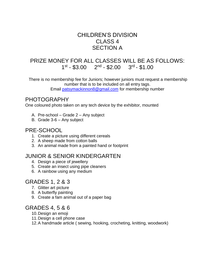#### CHILDREN'S DIVISION CLASS 4 SECTION A

#### PRIZE MONEY FOR ALL CLASSES WILL BE AS FOLLOWS:  $1^{st} - $3.00$   $2^{nd} - $2.00$   $3^{rd} - $1.00$

There is no membership fee for Juniors; however juniors must request a membership number that is to be included on all entry tags. Email [patsymackinnon8@gmail.com](mailto:patsymackinnon8@gmail.com) for membership number

#### PHOTOGRAPHY

One coloured photo taken on any tech device by the exhibitor, mounted

- A. Pre-school Grade 2 Any subject
- B. Grade 3-6 Any subject

#### PRE-SCHOOL

- 1. Create a picture using different cereals
- 2. A sheep made from cotton balls
- 3. An animal made from a painted hand or footprint

#### JUNIOR & SENIOR KINDERGARTEN

- 4. Design a piece of jewellery
- 5. Create an insect using pipe cleaners
- 6. A rainbow using any medium

#### GRADES 1, 2 & 3

- 7. Glitter art picture
- 8. A butterfly painting
- 9. Create a fam animal out of a paper bag

#### GRADES 4, 5 & 6

- 10.Design an emoji
- 11.Design a cell phone case
- 12.A handmade article ( sewing, hooking, crocheting, knitting, woodwork)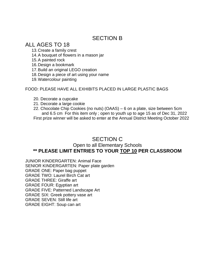#### SECTION B

ALL AGES TO 18

13.Create a family crest

14.A bouquet of flowers in a mason jar

15.A painted rock

16.Design a bookmark

17.Build an original LEGO creation

18.Design a piece of art using your name

19.Watercolour painting

FOOD: PLEASE HAVE ALL EXHIBITS PLACED IN LARGE PLASTIC BAGS

- 20. Decorate a cupcake
- 21. Decorate a large cookie
- 22. Chocolate Chip Cookies (no nuts) (OAAS) 6 on a plate, size between 5cm and 6.5 cm For this item only ; open to youth up to age 15 as of Dec 31, 2022 First prize winner will be asked to enter at the Annual District Meeting October 2022

#### SECTION C

#### Open to all Elementary Schools **\*\* PLEASE LIMIT ENTRIES TO YOUR TOP 10 PER CLASSROOM**

JUNIOR KINDERGARTEN: Animal Face SENIOR KINDERGARTEN: Paper plate garden GRADE ONE: Paper bag puppet GRADE TWO: Laurel Birch Cat art GRADE THREE: Giraffe art GRADE FOUR: Egyptian art GRADE FIVE: Patterned Landscape Art GRADE SIX: Greek pottery vase art GRADE SEVEN: Still life art GRADE EIGHT: Soup can art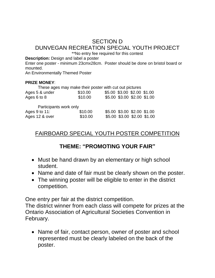# SECTION D DUNVEGAN RECREATION SPECIAL YOUTH PROJECT

\*\*No entry fee required for this contest

**Description:** Design and label a poster

Enter one poster - minimum 23cmx28cm. Poster should be done on bristol board or mounted.

An Environmentally Themed Poster

#### **PRIZE MONEY**:

| These ages may make their poster with cut out pictures |         |                             |  |                             |  |
|--------------------------------------------------------|---------|-----------------------------|--|-----------------------------|--|
| Ages 5 & under                                         | \$10.00 | \$5.00 \$3.00 \$2.00 \$1.00 |  |                             |  |
| Ages 6 to 8                                            | \$10.00 |                             |  | \$5.00 \$3.00 \$2.00 \$1.00 |  |
|                                                        |         |                             |  |                             |  |
| Participants work only                                 |         |                             |  |                             |  |
| Ages 9 to 11:                                          | \$10.00 |                             |  | \$5.00 \$3.00 \$2.00 \$1.00 |  |
| Ages 12 & over                                         | \$10.00 |                             |  | \$5.00 \$3.00 \$2.00 \$1.00 |  |

## FAIRBOARD SPECIAL YOUTH POSTER COMPETITION

# **THEME: "PROMOTING YOUR FAIR"**

- Must be hand drawn by an elementary or high school student.
- Name and date of fair must be clearly shown on the poster.
- The winning poster will be eligible to enter in the district competition.

One entry per fair at the district competition.

The district winner from each class will compete for prizes at the Ontario Association of Agricultural Societies Convention in February.

• Name of fair, contact person, owner of poster and school represented must be clearly labeled on the back of the poster.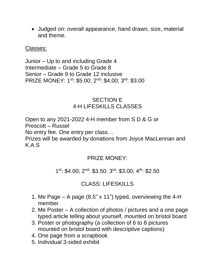Judged on: overall appearance, hand drawn, size, material and theme.

#### Classes:

Junior – Up to and including Grade 4 Intermediate – Grade 5 to Grade 8 Senior – Grade 9 to Grade 12 inclusive PRIZE MONEY: 1<sup>st</sup>: \$5.00; 2<sup>nd</sup>: \$4.00; 3<sup>rd</sup>: \$3.00

#### SECTION E 4-H LIFESKILLS CLASSES

Open to any 2021-2022 4-H member from S D & G or Prescott – Russel

No entry fee. One entry per class…

Prizes will be awarded by donations from Joyce MacLennan and K.A.S

## PRIZE MONEY:

1 st: \$4.00; 2nd: \$3.50; 3rd: \$3.00; 4th: \$2.50

# CLASS: LIFESKILLS

- 1. Me Page A page (8.5" x 11") typed, overviewing the 4-H member
- 2. Me Poster A collection of photos / pictures and a one page typed article telling about yourself, mounted on bristol board
- 3. Poster or photography (a collection of 6 to 8 pictures mounted on bristol board with descriptive captions)
- 4. One page from a scrapbook
- 5. Individual 3-sided exhibit